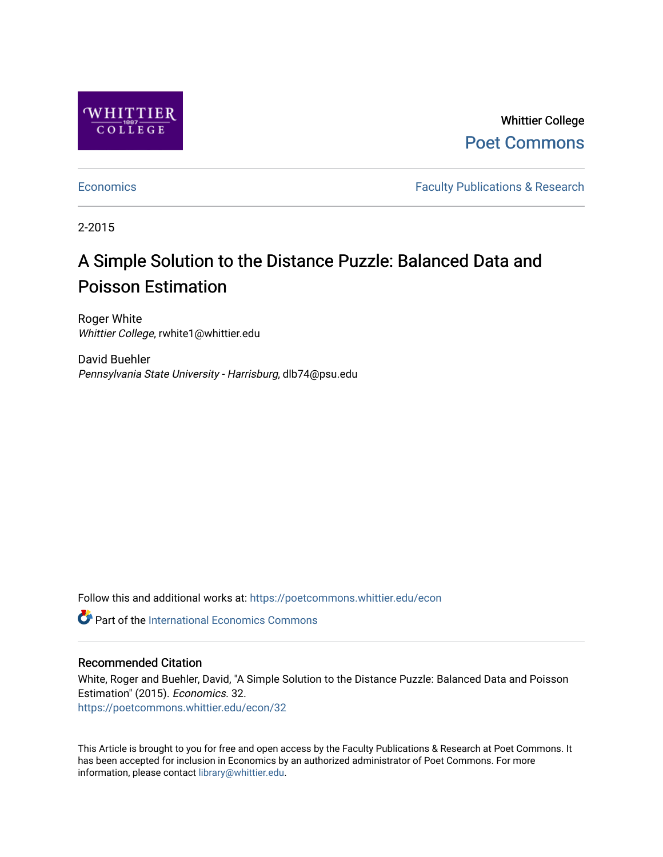

Whittier College [Poet Commons](https://poetcommons.whittier.edu/) 

[Economics](https://poetcommons.whittier.edu/econ) **Faculty Publications & Research** 

2-2015

## A Simple Solution to the Distance Puzzle: Balanced Data and Poisson Estimation

Roger White Whittier College, rwhite1@whittier.edu

David Buehler Pennsylvania State University - Harrisburg, dlb74@psu.edu

Follow this and additional works at: [https://poetcommons.whittier.edu/econ](https://poetcommons.whittier.edu/econ?utm_source=poetcommons.whittier.edu%2Fecon%2F32&utm_medium=PDF&utm_campaign=PDFCoverPages)

**C** Part of the International Economics Commons

#### Recommended Citation

White, Roger and Buehler, David, "A Simple Solution to the Distance Puzzle: Balanced Data and Poisson Estimation" (2015). Economics. 32. [https://poetcommons.whittier.edu/econ/32](https://poetcommons.whittier.edu/econ/32?utm_source=poetcommons.whittier.edu%2Fecon%2F32&utm_medium=PDF&utm_campaign=PDFCoverPages) 

This Article is brought to you for free and open access by the Faculty Publications & Research at Poet Commons. It has been accepted for inclusion in Economics by an authorized administrator of Poet Commons. For more information, please contact [library@whittier.edu.](mailto:library@whittier.edu)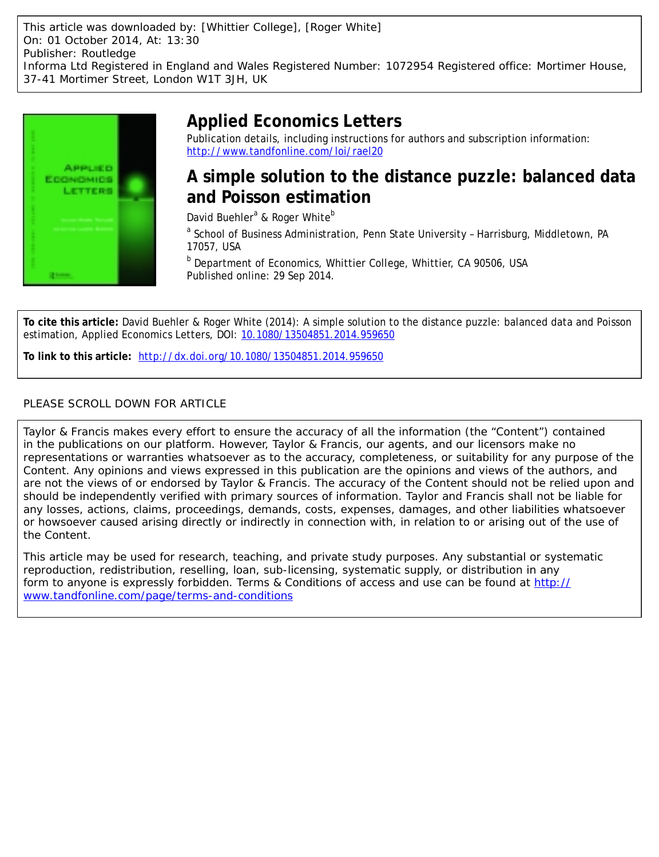This article was downloaded by: [Whittier College], [Roger White] On: 01 October 2014, At: 13:30 Publisher: Routledge Informa Ltd Registered in England and Wales Registered Number: 1072954 Registered office: Mortimer House, 37-41 Mortimer Street, London W1T 3JH, UK



### **Applied Economics Letters**

Publication details, including instructions for authors and subscription information: <http://www.tandfonline.com/loi/rael20>

### **A simple solution to the distance puzzle: balanced data and Poisson estimation**

David Buehler<sup>a</sup> & Roger White<sup>b</sup>

<sup>a</sup> School of Business Administration, Penn State University - Harrisburg, Middletown, PA 17057, USA

**b** Department of Economics, Whittier College, Whittier, CA 90506, USA Published online: 29 Sep 2014.

**To cite this article:** David Buehler & Roger White (2014): A simple solution to the distance puzzle: balanced data and Poisson estimation, Applied Economics Letters, DOI: [10.1080/13504851.2014.959650](http://www.tandfonline.com/action/showCitFormats?doi=10.1080/13504851.2014.959650)

**To link to this article:** <http://dx.doi.org/10.1080/13504851.2014.959650>

### PLEASE SCROLL DOWN FOR ARTICLE

Taylor & Francis makes every effort to ensure the accuracy of all the information (the "Content") contained in the publications on our platform. However, Taylor & Francis, our agents, and our licensors make no representations or warranties whatsoever as to the accuracy, completeness, or suitability for any purpose of the Content. Any opinions and views expressed in this publication are the opinions and views of the authors, and are not the views of or endorsed by Taylor & Francis. The accuracy of the Content should not be relied upon and should be independently verified with primary sources of information. Taylor and Francis shall not be liable for any losses, actions, claims, proceedings, demands, costs, expenses, damages, and other liabilities whatsoever or howsoever caused arising directly or indirectly in connection with, in relation to or arising out of the use of the Content.

This article may be used for research, teaching, and private study purposes. Any substantial or systematic reproduction, redistribution, reselling, loan, sub-licensing, systematic supply, or distribution in any form to anyone is expressly forbidden. Terms & Conditions of access and use can be found at [http://](http://www.tandfonline.com/page/terms-and-conditions) [www.tandfonline.com/page/terms-and-conditions](http://www.tandfonline.com/page/terms-and-conditions)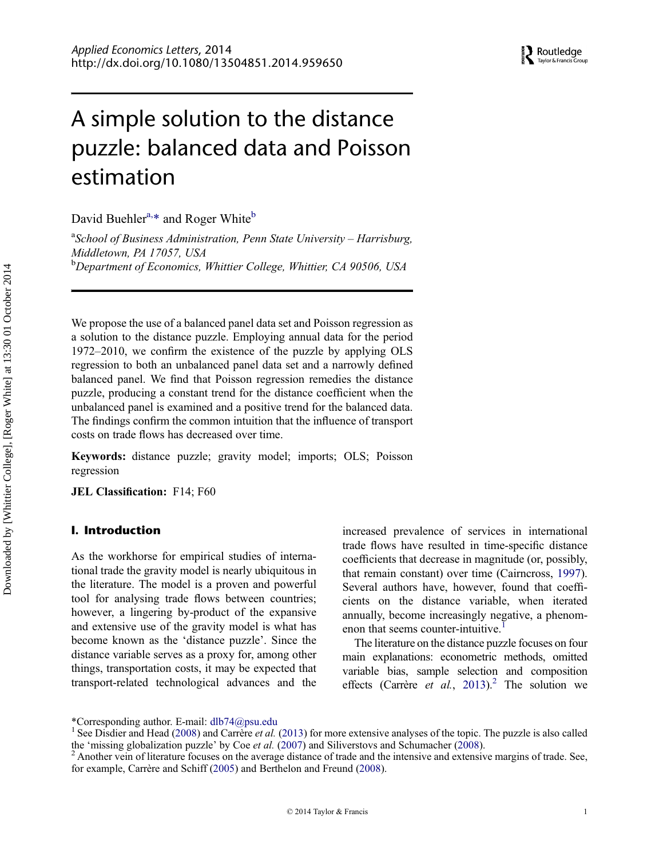# A simple solution to the distance puzzle: balanced data and Poisson estimation

David Buehler<sup>a,\*</sup> and Roger White<sup>b</sup>

<sup>a</sup>School of Business Administration, Penn State University – Harrisburg, Middletown, PA 17057, USA <sup>b</sup>Department of Economics, Whittier College, Whittier, CA 90506, USA

We propose the use of a balanced panel data set and Poisson regression as a solution to the distance puzzle. Employing annual data for the period 1972–2010, we confirm the existence of the puzzle by applying OLS regression to both an unbalanced panel data set and a narrowly defined balanced panel. We find that Poisson regression remedies the distance puzzle, producing a constant trend for the distance coefficient when the unbalanced panel is examined and a positive trend for the balanced data. The findings confirm the common intuition that the influence of transport costs on trade flows has decreased over time.

Keywords: distance puzzle; gravity model; imports; OLS; Poisson regression

JEL Classification: F14; F60

#### I. Introduction

As the workhorse for empirical studies of international trade the gravity model is nearly ubiquitous in the literature. The model is a proven and powerful tool for analysing trade flows between countries; however, a lingering by-product of the expansive and extensive use of the gravity model is what has become known as the 'distance puzzle'. Since the distance variable serves as a proxy for, among other things, transportation costs, it may be expected that transport-related technological advances and the increased prevalence of services in international trade flows have resulted in time-specific distance coefficients that decrease in magnitude (or, possibly, that remain constant) over time (Cairncross, [1997](#page-7-0)). Several authors have, however, found that coefficients on the distance variable, when iterated annually, become increasingly negative, a phenomenon that seems counter-intuitive.<sup>1</sup>

The literature on the distance puzzle focuses on four main explanations: econometric methods, omitted variable bias, sample selection and composition effects (Carrère *et al.*, [2013](#page-7-0)).<sup>2</sup> The solution we

<sup>\*</sup>Corresponding author. E-mail: dlb74@psu.edu<br><sup>1</sup> See Disdier and Head [\(2008](#page-7-0)) and Carrère *et al.* ([2013\)](#page-7-0) for more extensive analyses of the topic. The puzzle is also called

the 'missing globalization puzzle' by Coe *et al.* ([2007\)](#page-7-0) and Siliverstovs and Schumacher [\(2008](#page-7-0)). <sup>2</sup> Another vein of literature focuses on the average distance of trade and the intensive and extensive margins of trade. S for example, Carrère and Schiff [\(2005](#page-7-0)) and Berthelon and Freund [\(2008](#page-7-0)).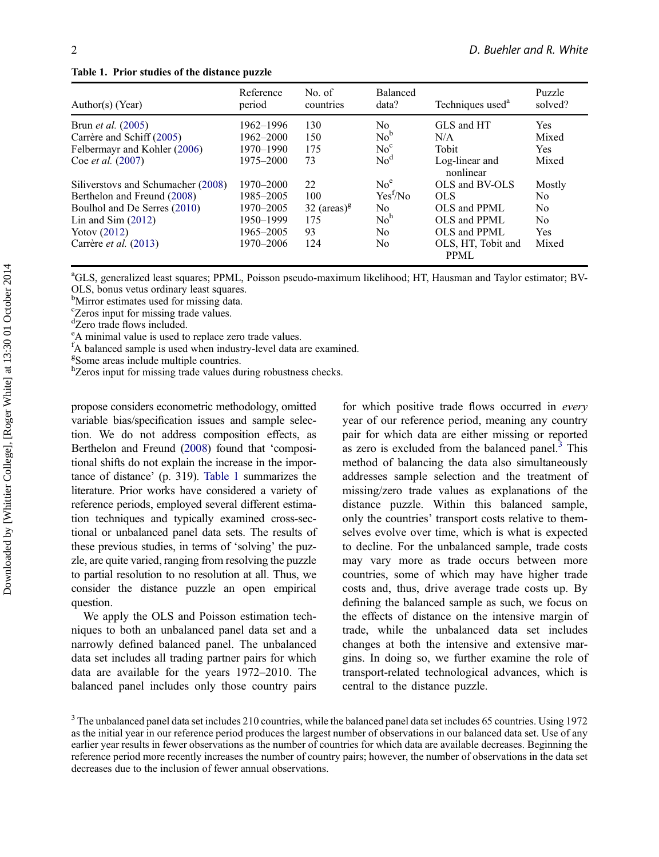| Table 1. Prior studies of the distance puzzle |  |  |  |
|-----------------------------------------------|--|--|--|
|-----------------------------------------------|--|--|--|

| Author(s) (Year)                   | Reference<br>period | No. of<br>countries    | <b>Balanced</b><br>data? | Techniques used <sup>a</sup>      | Puzzle<br>solved? |
|------------------------------------|---------------------|------------------------|--------------------------|-----------------------------------|-------------------|
| Brun <i>et al.</i> (2005)          | 1962–1996           | 130                    | N <sub>0</sub>           | GLS and HT                        | <b>Yes</b>        |
| Carrère and Schiff (2005)          | $1962 - 2000$       | 150                    | $No^b$                   | N/A                               | Mixed             |
| Felbermayr and Kohler (2006)       | 1970-1990           | 175                    | No <sup>c</sup>          | Tobit                             | <b>Yes</b>        |
| Coe et al. (2007)                  | 1975-2000           | 73                     | No <sup>d</sup>          | Log-linear and<br>nonlinear       | Mixed             |
| Siliverstovs and Schumacher (2008) | 1970–2000           | 22                     | No <sup>e</sup>          | OLS and BV-OLS                    | Mostly            |
| Berthelon and Freund (2008)        | 1985-2005           | 100                    | Yes <sup>f</sup> /No     | OLS.                              | N <sub>0</sub>    |
| Boulhol and De Serres (2010)       | 1970–2005           | $32 \text{ (areas)}^g$ | No                       | OLS and PPML                      | N <sub>0</sub>    |
| Lin and $Sim(2012)$                | 1950–1999           | 175                    | No <sup>h</sup>          | OLS and PPML                      | N <sub>0</sub>    |
| Yotov $(2012)$                     | $1965 - 2005$       | 93                     | No.                      | OLS and PPML                      | <b>Yes</b>        |
| Carrère <i>et al.</i> (2013)       | 1970-2006           | 124                    | No                       | OLS, HT, Tobit and<br><b>PPML</b> | Mixed             |

<sup>a</sup>GLS, generalized least squares; PPML, Poisson pseudo-maximum likelihood; HT, Hausman and Taylor estimator; BV-OLS, bonus vetus ordinary least squares.

<sup>b</sup>Mirror estimates used for missing data.

c Zeros input for missing trade values.

<sup>d</sup>Zero trade flows included.

<sup>e</sup>A minimal value is used to replace zero trade values.

f A balanced sample is used when industry-level data are examined.

g Some areas include multiple countries.

<sup>h</sup>Zeros input for missing trade values during robustness checks.

propose considers econometric methodology, omitted variable bias/specification issues and sample selection. We do not address composition effects, as Berthelon and Freund [\(2008\)](#page-7-0) found that 'compositional shifts do not explain the increase in the importance of distance' (p. 319). Table 1 summarizes the literature. Prior works have considered a variety of reference periods, employed several different estimation techniques and typically examined cross-sectional or unbalanced panel data sets. The results of these previous studies, in terms of 'solving' the puzzle, are quite varied, ranging from resolving the puzzle to partial resolution to no resolution at all. Thus, we consider the distance puzzle an open empirical question.

We apply the OLS and Poisson estimation techniques to both an unbalanced panel data set and a narrowly defined balanced panel. The unbalanced data set includes all trading partner pairs for which data are available for the years 1972–2010. The balanced panel includes only those country pairs

for which positive trade flows occurred in every year of our reference period, meaning any country pair for which data are either missing or reported as zero is excluded from the balanced panel.<sup>3</sup> This method of balancing the data also simultaneously addresses sample selection and the treatment of missing/zero trade values as explanations of the distance puzzle. Within this balanced sample, only the countries' transport costs relative to themselves evolve over time, which is what is expected to decline. For the unbalanced sample, trade costs may vary more as trade occurs between more countries, some of which may have higher trade costs and, thus, drive average trade costs up. By defining the balanced sample as such, we focus on the effects of distance on the intensive margin of trade, while the unbalanced data set includes changes at both the intensive and extensive margins. In doing so, we further examine the role of transport-related technological advances, which is central to the distance puzzle.

 $3$  The unbalanced panel data set includes 210 countries, while the balanced panel data set includes 65 countries. Using 1972 as the initial year in our reference period produces the largest number of observations in our balanced data set. Use of any earlier year results in fewer observations as the number of countries for which data are available decreases. Beginning the reference period more recently increases the number of country pairs; however, the number of observations in the data set decreases due to the inclusion of fewer annual observations.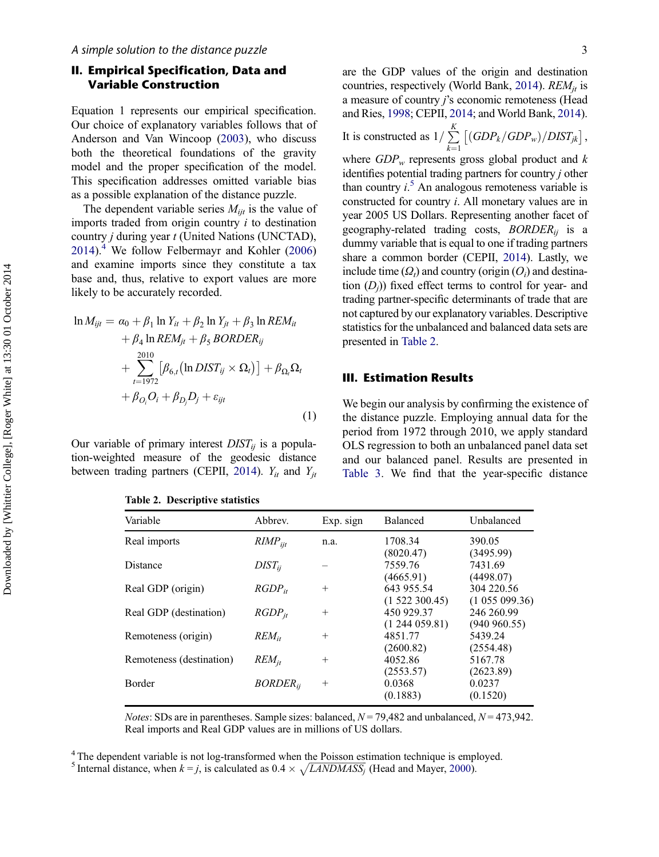#### II. Empirical Specification, Data and Variable Construction

Equation 1 represents our empirical specification. Our choice of explanatory variables follows that of Anderson and Van Wincoop [\(2003](#page-7-0)), who discuss both the theoretical foundations of the gravity model and the proper specification of the model. This specification addresses omitted variable bias as a possible explanation of the distance puzzle.

The dependent variable series  $M_{ijt}$  is the value of imports traded from origin country  $i$  to destination country j during year t (United Nations (UNCTAD), [2014\)](#page-7-0).4 We follow Felbermayr and Kohler [\(2006](#page-7-0)) and examine imports since they constitute a tax base and, thus, relative to export values are more likely to be accurately recorded.

$$
\ln M_{ijt} = \alpha_0 + \beta_1 \ln Y_{it} + \beta_2 \ln Y_{jt} + \beta_3 \ln REM_{it}
$$
  
+  $\beta_4 \ln REM_{jt} + \beta_5 BORDER_{ij}$   
+ 
$$
\sum_{t=1972}^{2010} [\beta_{6,t} (\ln DIST_{ij} \times \Omega_t)] + \beta_{\Omega_t} \Omega_t
$$
  
+  $\beta_{O_i} O_i + \beta_{D_j} D_j + \varepsilon_{ijt}$  (1)

Our variable of primary interest  $DIST_{ij}$  is a population-weighted measure of the geodesic distance between trading partners (CEPII, [2014\)](#page-7-0).  $Y_{it}$  and  $Y_{jt}$ 

| Table 2. Descriptive statistics |
|---------------------------------|
|                                 |

are the GDP values of the origin and destination countries, respectively (World Bank, [2014\)](#page-7-0).  $REM_{it}$  is a measure of country j's economic remoteness (Head and Ries, [1998;](#page-7-0) CEPII, [2014](#page-7-0); and World Bank, [2014](#page-7-0)).

It is constructed as 
$$
1 / \sum_{k=1}^{K} [(GDP_k/GDP_w)/DIST_{jk}]
$$
,

where  $GDP_w$  represents gross global product and k identifies potential trading partners for country j other than country  $i^5$ . An analogous remoteness variable is constructed for country i. All monetary values are in year 2005 US Dollars. Representing another facet of geography-related trading costs,  $BORDER_{ij}$  is a dummy variable that is equal to one if trading partners share a common border (CEPII, [2014\)](#page-7-0). Lastly, we include time  $(Q_t)$  and country (origin  $(Q_i)$ ) and destination  $(D_i)$ ) fixed effect terms to control for year- and trading partner-specific determinants of trade that are not captured by our explanatory variables. Descriptive statistics for the unbalanced and balanced data sets are presented in Table 2.

#### III. Estimation Results

We begin our analysis by confirming the existence of the distance puzzle. Employing annual data for the period from 1972 through 2010, we apply standard OLS regression to both an unbalanced panel data set and our balanced panel. Results are presented in [Table 3](#page-5-0). We find that the year-specific distance

| Variable                 | Abbrev.             | Exp. sign | <b>Balanced</b>  | Unbalanced   |
|--------------------------|---------------------|-----------|------------------|--------------|
| Real imports             | $RIMP_{\text{iit}}$ | n.a.      | 1708.34          | 390.05       |
|                          |                     |           | (8020.47)        | (3495.99)    |
| <b>Distance</b>          | $DIST_{ii}$         |           | 7559.76          | 7431.69      |
|                          |                     |           | (4665.91)        | (4498.07)    |
| Real GDP (origin)        | $RGDP_{it}$         | $^{+}$    | 643 955.54       | 304 220.56   |
|                          |                     |           | (1, 522, 300.45) | (1055099.36) |
| Real GDP (destination)   | $RGDP_{it}$         | $^{+}$    | 450 929.37       | 246 260.99   |
|                          |                     |           | (1244059.81)     | (940960.55)  |
| Remoteness (origin)      | $REM_{it}$          | $^{+}$    | 4851.77          | 5439.24      |
|                          |                     |           | (2600.82)        | (2554.48)    |
| Remoteness (destination) | $REM_{it}$          | $^{+}$    | 4052.86          | 5167.78      |
|                          |                     |           | (2553.57)        | (2623.89)    |
| Border                   | $BORDER_{ii}$       | $^{+}$    | 0.0368           | 0.0237       |
|                          |                     |           | (0.1883)         | (0.1520)     |

*Notes*: SDs are in parentheses. Sample sizes: balanced,  $N = 79,482$  and unbalanced,  $N = 473,942$ . Real imports and Real GDP values are in millions of US dollars.

<sup>4</sup> The dependent variable is not log-transformed when the Poisson estimation technique is employed.

<sup>5</sup> Internal distance, when  $k = j$ , is calculated as  $0.4 \times \sqrt{LANDMASS_j}$  (Head and Mayer, [2000\)](#page-7-0).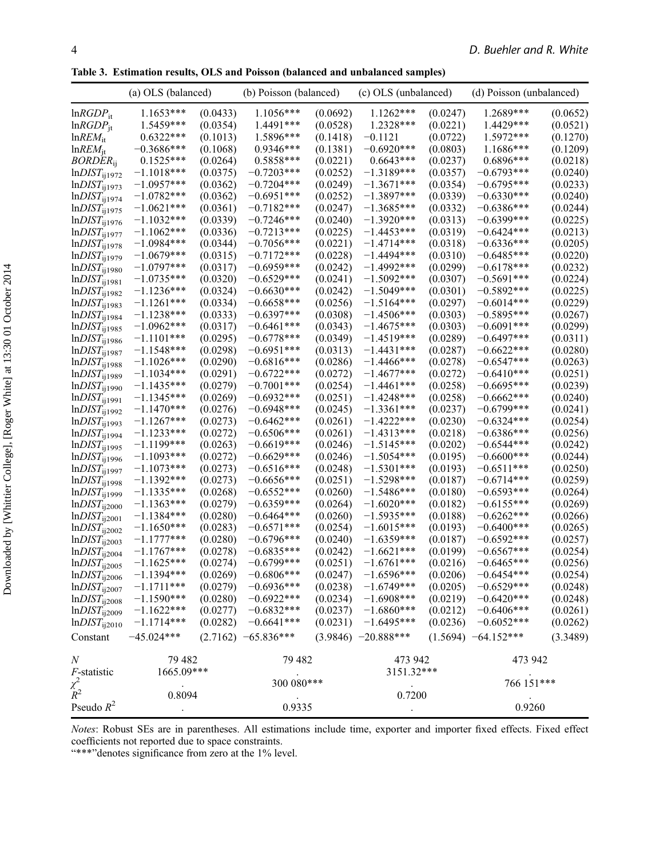<span id="page-5-0"></span>Table 3. Estimation results, OLS and Poisson (balanced and unbalanced samples)

| (a) OLS (balanced)<br>(b) Poisson (balanced)<br>(c) OLS (unbalanced)                                       | (d) Poisson (unbalanced)          |
|------------------------------------------------------------------------------------------------------------|-----------------------------------|
| 1.1056***<br>$1.1262***$<br>$1.1653***$<br>(0.0433)<br>(0.0247)<br>$lnRGDP_{it}$<br>(0.0692)               | 1.2689***<br>(0.0652)             |
| 1.2328***<br>$1.5459***$<br>(0.0354)<br>1.4491***<br>(0.0528)<br>(0.0221)<br>$lnRGDP_{it}$                 | 1.4429***<br>(0.0521)             |
| $0.6322***$<br>(0.1013)<br>1.5896***<br>(0.1418)<br>$-0.1121$<br>(0.0722)<br>$ln$ <i>REM</i> <sub>it</sub> | (0.1270)<br>$1.5972***$           |
| $-0.3686***$<br>$-0.6920***$<br>$lnREM_{it}$<br>(0.1068)<br>$0.9346***$<br>(0.1381)<br>(0.0803)            | (0.1209)<br>1.1686***             |
| $BORDER_{ii}$<br>(0.0221)<br>$0.1525***$<br>(0.0264)<br>$0.5858***$<br>$0.6643***$<br>(0.0237)             | (0.0218)<br>$0.6896***$           |
| $lnDIST_{ii1972}$<br>$-1.1018***$<br>(0.0375)<br>$-0.7203***$<br>(0.0252)<br>$-1.3189***$<br>(0.0357)      | $-0.6793***$<br>(0.0240)          |
| $lnDIST_{ii1973}$<br>$-1.0957***$<br>$-0.7204***$<br>(0.0249)<br>$-1.3671***$<br>(0.0354)<br>(0.0362)      | $-0.6795***$<br>(0.0233)          |
| $-1.0782***$<br>(0.0252)<br>$-1.3897***$<br>(0.0339)<br>$lnDIST_{ii1974}$<br>(0.0362)<br>$-0.6951***$      | $-0.6330***$<br>(0.0240)          |
| $lnDIST_{ij1975}$<br>$-1.0621***$<br>(0.0361)<br>$-0.7182***$<br>(0.0247)<br>$-1.3685***$<br>(0.0332)      | $-0.6386***$<br>(0.0244)          |
| $-1.1032***$<br>$lnDIST_{ij1976}$<br>(0.0339)<br>$-0.7246***$<br>(0.0240)<br>$-1.3920***$<br>(0.0313)      | $-0.6399***$<br>(0.0225)          |
| $lnDIST_{ij1977}$<br>$-1.1062***$<br>(0.0336)<br>$-0.7213***$<br>(0.0225)<br>$-1.4453***$<br>(0.0319)      | (0.0213)<br>$-0.6424***$          |
| (0.0221)<br>(0.0318)<br>$lnDIST_{ii1978}$<br>$-1.0984***$<br>(0.0344)<br>$-0.7056***$<br>$-1.4714***$      | (0.0205)<br>$-0.6336***$          |
| $-1.0679***$<br>$-0.7172***$<br>(0.0228)<br>$-1.4494***$<br>(0.0310)<br>$lnDIST_{ij1979}$<br>(0.0315)      | $-0.6485***$<br>(0.0220)          |
| $-1.0797***$<br>(0.0317)<br>$-0.6959***$<br>(0.0242)<br>$-1.4992***$<br>(0.0299)<br>$lnDIST_{ii1980}$      | $-0.6178***$<br>(0.0232)          |
| $-1.0735***$<br>(0.0320)<br>$-0.6529***$<br>(0.0241)<br>$-1.5092***$<br>(0.0307)<br>$lnDIST_{ij1981}$      | $-0.5691***$<br>(0.0224)          |
| $-1.1236***$<br>(0.0324)<br>$-0.6630***$<br>(0.0242)<br>$-1.5049***$<br>(0.0301)<br>$lnDIST_{ij1982}$      | (0.0225)<br>$-0.5892***$          |
| $lnDIST_{ij1983}$<br>$-1.1261***$<br>(0.0334)<br>$-0.6658***$<br>(0.0256)<br>$-1.5164***$<br>(0.0297)      | (0.0229)<br>$-0.6014***$          |
| $lnDIST_{ii1984}$<br>$-1.1238***$<br>$-0.6397***$<br>(0.0308)<br>$-1.4506***$<br>(0.0303)<br>(0.0333)      | $-0.5895***$<br>(0.0267)          |
| $-1.0962***$<br>$-0.6461***$<br>(0.0343)<br>$-1.4675***$<br>(0.0303)<br>$lnDIST_{ij1985}$<br>(0.0317)      | $-0.6091***$<br>(0.0299)          |
| $-1.1101***$<br>$-0.6778***$<br>$-1.4519***$<br>(0.0289)<br>$lnDIST_{ij1986}$<br>(0.0295)<br>(0.0349)      | $-0.6497***$<br>(0.0311)          |
| $lnDIST_{ij1987}$<br>$-1.1548***$<br>(0.0298)<br>$-0.6951***$<br>(0.0313)<br>$-1.4431***$<br>(0.0287)      | $-0.6622***$<br>(0.0280)          |
| $lnDIST_{ij1988}$<br>$-1.1026***$<br>(0.0290)<br>$-0.6816***$<br>(0.0286)<br>$-1.4466$ ***<br>(0.0278)     | $-0.6547***$<br>(0.0263)          |
| $-1.1034***$<br>(0.0291)<br>$-0.6722***$<br>(0.0272)<br>$-1.4677***$<br>(0.0272)<br>$lnDIST_{ii1989}$      | $-0.6410***$<br>(0.0251)          |
| $lnDIST_{ii1990}$<br>$-1.1435***$<br>(0.0279)<br>$-0.7001***$<br>(0.0254)<br>$-1.4461***$<br>(0.0258)      | $-0.6695***$<br>(0.0239)          |
| $-1.1345***$<br>(0.0269)<br>$-0.6932***$<br>(0.0251)<br>$-1.4248***$<br>(0.0258)<br>$lnDIST_{ij1991}$      | $-0.6662***$<br>(0.0240)          |
| $-1.1470***$<br>(0.0276)<br>$-0.6948$ ***<br>(0.0245)<br>$-1.3361***$<br>(0.0237)<br>$lnDIST_{ii1992}$     | $-0.6799***$<br>(0.0241)          |
| $-1.1267***$<br>$-0.6462***$<br>$lnDIST_{ij1993}$<br>(0.0273)<br>(0.0261)<br>$-1.4222***$<br>(0.0230)      | $-0.6324***$<br>(0.0254)          |
| $lnDIST_{ij1994}$<br>$-1.1233***$<br>(0.0272)<br>$-0.6506***$<br>(0.0261)<br>$-1.4313***$<br>(0.0218)      | (0.0256)<br>$-0.6386***$          |
| $-1.1199***$<br>(0.0263)<br>(0.0202)<br>$lnDIST_{ij1995}$<br>$-0.6619***$<br>(0.0246)<br>$-1.5145***$      | (0.0242)<br>$-0.6544***$          |
| $lnDIST_{ij1996}$<br>$-1.1093***$<br>$-0.6629***$<br>(0.0246)<br>$-1.5054***$<br>(0.0195)<br>(0.0272)      | $-0.6600***$<br>(0.0244)          |
| $-1.1073***$<br>$-0.6516***$<br>(0.0193)<br>$lnDIST_{ij1997}$<br>(0.0273)<br>(0.0248)<br>$-1.5301***$      | (0.0250)<br>$-0.6511***$          |
| $lnDIST_{ij1998}$<br>$-1.1392***$<br>(0.0273)<br>$-0.6656***$<br>(0.0251)<br>$-1.5298***$<br>(0.0187)      | $-0.6714***$<br>(0.0259)          |
| $-1.1335***$<br>$lnDIST_{ii1999}$<br>(0.0268)<br>$-0.6552***$<br>(0.0260)<br>$-1.5486***$<br>(0.0180)      | $-0.6593***$<br>(0.0264)          |
| $lnDIST_{ij2000}$<br>$-1.1363***$<br>(0.0279)<br>$-0.6359***$<br>(0.0264)<br>$-1.6020***$<br>(0.0182)      | (0.0269)<br>$-0.6155***$          |
| $lnDIST_{ij2001}$<br>$-1.1384***$<br>(0.0280)<br>$-0.6464***$<br>(0.0260)<br>$-1.5935***$<br>(0.0188)      | $-0.6262***$<br>(0.0266)          |
| $-1.1650***$<br>$-0.6571***$<br>(0.0254)<br>$-1.6015***$<br>(0.0193)<br>$lnDIST_{ij2002}$<br>(0.0283)      | $-0.6400***$<br>(0.0265)          |
| $-1.1777***$<br>$-0.6796***$<br>$-1.6359***$<br>(0.0187)<br>$lnDIST_{ij2003}$<br>(0.0280)<br>(0.0240)      | $-0.6592***$<br>(0.0257)          |
| $-1.1767***$<br>(0.0278)<br>$-0.6835***$<br>(0.0242)<br>$-1.6621***$<br>(0.0199)<br>$lnDIST_{ij2004}$      | $-0.6567***$<br>(0.0254)          |
| $lnDIST_{ij2005}$<br>(0.0274)<br>(0.0251)<br>$-1.6761***$<br>(0.0216)<br>$-1.1625***$<br>$-0.6799***$      | (0.0256)<br>$-0.6465***$          |
| $lnDIST_{ij2006}$<br>$-1.1394***$<br>$-0.6806***$<br>(0.0247)<br>$-1.6596***$<br>(0.0206)<br>(0.0269)      | $-0.6454***$<br>(0.0254)          |
| $lnDIST_{ij2007}$<br>$-1.1711***$<br>$-0.6936***$<br>$-1.6749***$<br>(0.0205)<br>(0.0279)<br>(0.0238)      | $-0.6529***$<br>(0.0248)          |
| $-1.1590***$<br>$-0.6922***$<br>$-1.6908***$<br>$lnDIST_{ij2008}$<br>(0.0280)<br>(0.0234)<br>(0.0219)      | $-0.6420***$<br>(0.0248)          |
| $-1.1622***$<br>$-0.6832***$<br>$-1.6860***$<br>$lnDIST_{ij2009}$<br>(0.0277)<br>(0.0237)<br>(0.0212)      | $-0.6406***$<br>(0.0261)          |
| $-1.1714***$<br>$-0.6641***$<br>$-1.6495***$<br>(0.0282)<br>(0.0236)<br>$lnDIST_{ij2010}$<br>(0.0231)      | $-0.6052***$<br>(0.0262)          |
| $-45.024***$<br>$(3.9846)$ -20.888***<br>$(2.7162)$ -65.836***<br>Constant                                 | $(1.5694)$ -64.152***<br>(3.3489) |
| $\cal N$<br>79 482<br>79 482<br>473 942                                                                    | 473 942                           |
| 1665.09***<br>3151.32***<br>$F$ -statistic                                                                 |                                   |
| 300 080***                                                                                                 |                                   |
|                                                                                                            |                                   |
| $\chi^2_{R^2}$<br>0.8094<br>0.7200                                                                         | 766 151***                        |

Notes: Robust SEs are in parentheses. All estimations include time, exporter and importer fixed effects. Fixed effect coefficients not reported due to space constraints.

"\*\*\*"denotes significance from zero at the 1% level.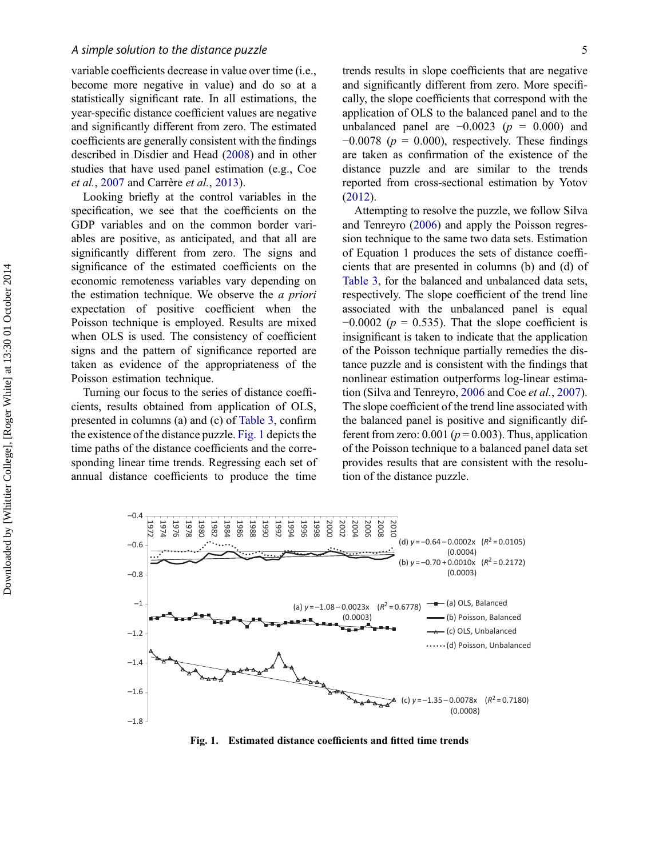#### A simple solution to the distance puzzle 5

variable coefficients decrease in value over time (i.e., become more negative in value) and do so at a statistically significant rate. In all estimations, the year-specific distance coefficient values are negative and significantly different from zero. The estimated coefficients are generally consistent with the findings described in Disdier and Head [\(2008](#page-7-0)) and in other studies that have used panel estimation (e.g., Coe et al., [2007](#page-7-0) and Carrère et al., [2013](#page-7-0)).

Looking briefly at the control variables in the specification, we see that the coefficients on the GDP variables and on the common border variables are positive, as anticipated, and that all are significantly different from zero. The signs and significance of the estimated coefficients on the economic remoteness variables vary depending on the estimation technique. We observe the a priori expectation of positive coefficient when the Poisson technique is employed. Results are mixed when OLS is used. The consistency of coefficient signs and the pattern of significance reported are taken as evidence of the appropriateness of the Poisson estimation technique.

Turning our focus to the series of distance coefficients, results obtained from application of OLS, presented in columns (a) and (c) of [Table 3](#page-5-0), confirm the existence of the distance puzzle. Fig. 1 depicts the time paths of the distance coefficients and the corresponding linear time trends. Regressing each set of annual distance coefficients to produce the time

trends results in slope coefficients that are negative and significantly different from zero. More specifically, the slope coefficients that correspond with the application of OLS to the balanced panel and to the unbalanced panel are  $-0.0023$  ( $p = 0.000$ ) and  $-0.0078$  ( $p = 0.000$ ), respectively. These findings are taken as confirmation of the existence of the distance puzzle and are similar to the trends reported from cross-sectional estimation by Yotov [\(2012](#page-7-0)).

Attempting to resolve the puzzle, we follow Silva and Tenreyro ([2006](#page-7-0)) and apply the Poisson regression technique to the same two data sets. Estimation of Equation 1 produces the sets of distance coefficients that are presented in columns (b) and (d) of [Table 3,](#page-5-0) for the balanced and unbalanced data sets, respectively. The slope coefficient of the trend line associated with the unbalanced panel is equal  $-0.0002$  ( $p = 0.535$ ). That the slope coefficient is insignificant is taken to indicate that the application of the Poisson technique partially remedies the distance puzzle and is consistent with the findings that nonlinear estimation outperforms log-linear estima-tion (Silva and Tenreyro, [2006](#page-7-0) and Coe et al., [2007](#page-7-0)). The slope coefficient of the trend line associated with the balanced panel is positive and significantly different from zero: 0.001 ( $p = 0.003$ ). Thus, application of the Poisson technique to a balanced panel data set provides results that are consistent with the resolution of the distance puzzle.



Fig. 1. Estimated distance coefficients and fitted time trends